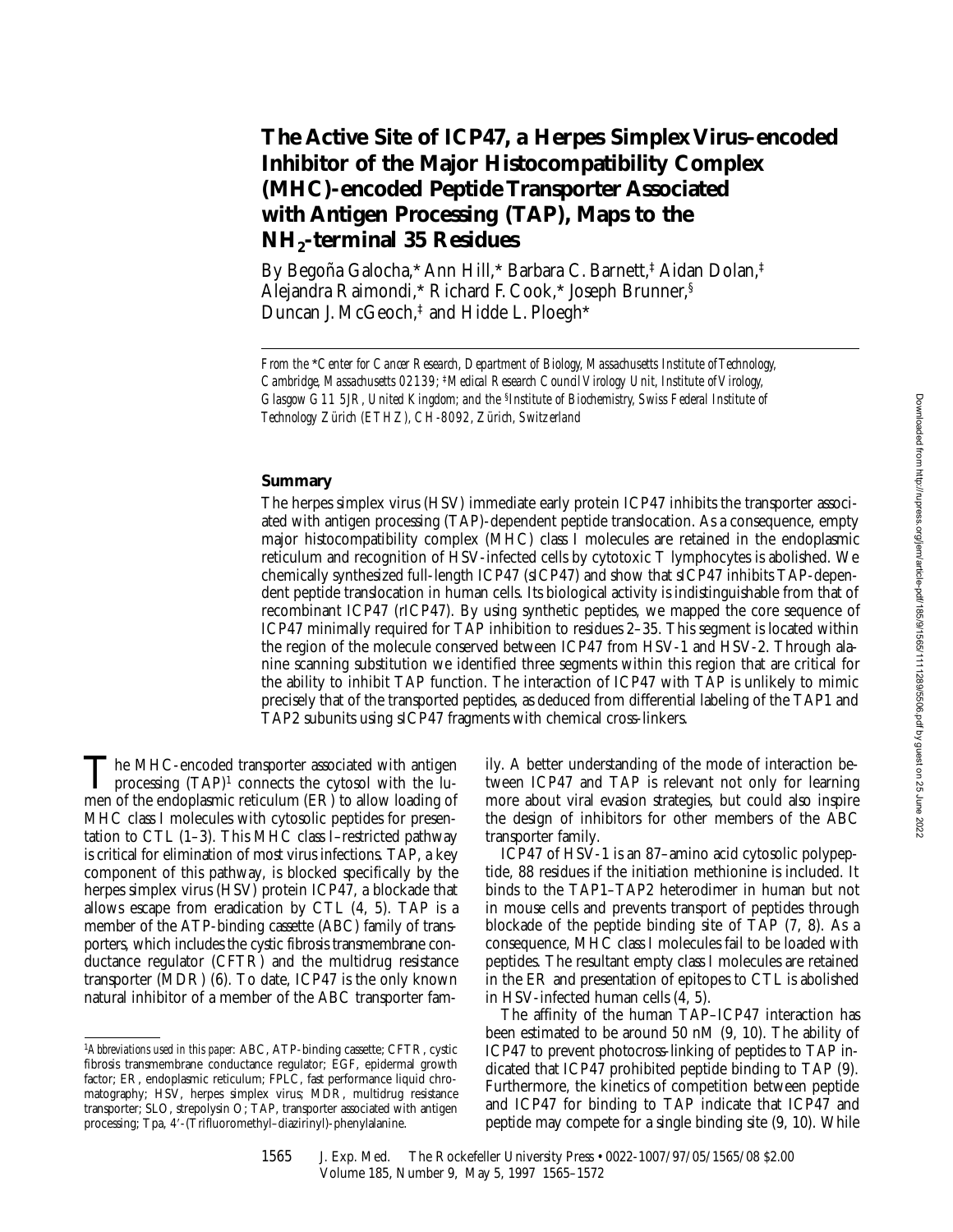# **The Active Site of ICP47, a Herpes Simplex Virus–encoded Inhibitor of the Major Histocompatibility Complex (MHC)-encoded Peptide Transporter Associated with Antigen Processing (TAP), Maps to the NH2-terminal 35 Residues**

By Begoña Galocha,\* Ann Hill,\* Barbara C. Barnett,‡ Aidan Dolan,‡ Alejandra Raimondi,\* Richard F. Cook,\* Joseph Brunner,§ Duncan J. McGeoch,<sup>‡</sup> and Hidde L. Ploegh\*

*From the* \**Center for Cancer Research, Department of Biology, Massachusetts Institute of Technology, Cambridge, Massachusetts 02139;* ‡*Medical Research Council Virology Unit, Institute of Virology, Glasgow G11 5JR, United Kingdom; and the* §*Institute of Biochemistry, Swiss Federal Institute of Technology Zürich (ETHZ), CH-8092, Zürich, Switzerland*

# **Summary**

The herpes simplex virus (HSV) immediate early protein ICP47 inhibits the transporter associated with antigen processing (TAP)-dependent peptide translocation. As a consequence, empty major histocompatibility complex (MHC) class  $\overline{I}$  molecules are retained in the endoplasmic reticulum and recognition of HSV-infected cells by cytotoxic T lymphocytes is abolished. We chemically synthesized full-length ICP47 (sICP47) and show that sICP47 inhibits TAP-dependent peptide translocation in human cells. Its biological activity is indistinguishable from that of recombinant ICP47 (rICP47). By using synthetic peptides, we mapped the core sequence of ICP47 minimally required for TAP inhibition to residues 2–35. This segment is located within the region of the molecule conserved between ICP47 from HSV-1 and HSV-2. Through alanine scanning substitution we identified three segments within this region that are critical for the ability to inhibit TAP function. The interaction of ICP47 with TAP is unlikely to mimic precisely that of the transported peptides, as deduced from differential labeling of the TAP1 and TAP2 subunits using sICP47 fragments with chemical cross-linkers.

 $\prod$ he MHC-encoded transporter associated with antigen<br>processing  $(TAP)^1$  connects the cytosol with the lu-<br>map of the anderelaxing attacking  $(FD)$  to allow looding of men of the endoplasmic reticulum (ER) to allow loading of MHC class I molecules with cytosolic peptides for presentation to CTL (1–3). This MHC class I–restricted pathway is critical for elimination of most virus infections. TAP, a key component of this pathway, is blocked specifically by the herpes simplex virus (HSV) protein ICP47, a blockade that allows escape from eradication by CTL (4, 5). TAP is a member of the ATP-binding cassette (ABC) family of transporters, which includes the cystic fibrosis transmembrane conductance regulator (CFTR) and the multidrug resistance transporter (MDR) (6). To date, ICP47 is the only known natural inhibitor of a member of the ABC transporter family. A better understanding of the mode of interaction between ICP47 and TAP is relevant not only for learning more about viral evasion strategies, but could also inspire the design of inhibitors for other members of the ABC transporter family.

ICP47 of HSV-1 is an 87–amino acid cytosolic polypeptide, 88 residues if the initiation methionine is included. It binds to the TAP1–TAP2 heterodimer in human but not in mouse cells and prevents transport of peptides through blockade of the peptide binding site of TAP (7, 8). As a consequence, MHC class I molecules fail to be loaded with peptides. The resultant empty class I molecules are retained in the ER and presentation of epitopes to CTL is abolished in HSV-infected human cells (4, 5).

The affinity of the human TAP–ICP47 interaction has been estimated to be around 50 nM (9, 10). The ability of ICP47 to prevent photocross-linking of peptides to TAP indicated that ICP47 prohibited peptide binding to TAP (9). Furthermore, the kinetics of competition between peptide and ICP47 for binding to TAP indicate that ICP47 and peptide may compete for a single binding site (9, 10). While

1565 J. Exp. Med. The Rockefeller University Press • 0022-1007/97/05/1565/08 \$2.00 Volume 185, Number 9, May 5, 1997 1565–1572

<sup>1</sup>*Abbreviations used in this paper:* ABC, ATP-binding cassette; CFTR, cystic fibrosis transmembrane conductance regulator; EGF, epidermal growth factor; ER, endoplasmic reticulum; FPLC, fast performance liquid chromatography; HSV, herpes simplex virus; MDR, multidrug resistance transporter; SLO, strepolysin O; TAP, transporter associated with antigen processing; Tpa, 4'-(Trifluoromethyl-diazirinyl)-phenylalanine.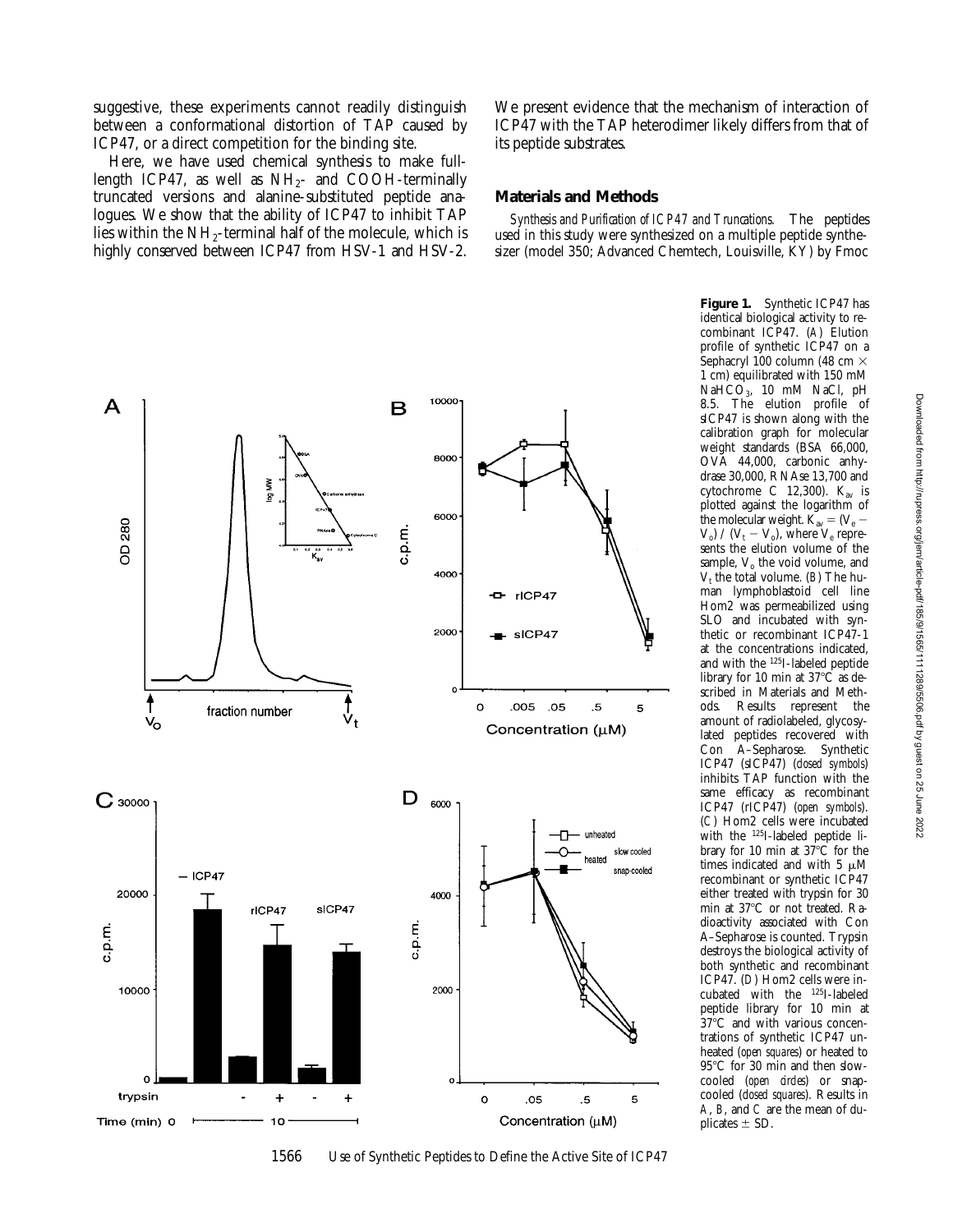suggestive, these experiments cannot readily distinguish between a conformational distortion of TAP caused by ICP47, or a direct competition for the binding site.

Here, we have used chemical synthesis to make fulllength ICP47, as well as  $NH<sub>2</sub>-$  and COOH-terminally truncated versions and alanine-substituted peptide analogues. We show that the ability of ICP47 to inhibit TAP lies within the  $NH_2$ -terminal half of the molecule, which is highly conserved between ICP47 from HSV-1 and HSV-2.

We present evidence that the mechanism of interaction of ICP47 with the TAP heterodimer likely differs from that of its peptide substrates.

## **Materials and Methods**

*Synthesis and Purification of ICP47 and Truncations.* The peptides used in this study were synthesized on a multiple peptide synthesizer (model 350; Advanced Chemtech, Louisville, KY) by Fmoc



1566 Use of Synthetic Peptides to Define the Active Site of ICP47

**Figure 1.** Synthetic ICP47 has identical biological activity to recombinant ICP47. (*A*) Elution profile of synthetic ICP47 on a Sephacryl 100 column (48 cm  $\times$ 1 cm) equilibrated with 150 mM Na $HCO<sub>3</sub>$ , 10 mM NaCl, pH 8.5. The elution profile of sICP47 is shown along with the calibration graph for molecular weight standards (BSA 66,000, OVA 44,000, carbonic anhydrase 30,000, RNAse 13,700 and cytochrome C 12,300).  $K_{av}$  is plotted against the logarithm of the molecular weight.  $\overline{K}_{av} = (V_e V_o$ ) /  $(V_t - V_o)$ , where  $V_e$  represents the elution volume of the sample,  $V<sub>o</sub>$  the void volume, and  $V_t$  the total volume. (*B*) The human lymphoblastoid cell line Hom2 was permeabilized using SLO and incubated with synthetic or recombinant ICP47-1 at the concentrations indicated, and with the 125I-labeled peptide library for 10 min at  $37^{\circ}$ C as described in Materials and Meth-<br>ods. Results represent the Results represent the amount of radiolabeled, glycosylated peptides recovered with<br>Con A-Sepharose. Synthetic A–Sepharose. Synthetic ICP47 (sICP47) (*closed symbols*) inhibits TAP function with the same efficacy as recombinant ICP47 (rICP47) (*open symbols*). (*C*) Hom2 cells were incubated with the <sup>125</sup>I-labeled peptide library for 10 min at  $37^{\circ}$ C for the times indicated and with 5  $\mu$ M recombinant or synthetic ICP47 either treated with trypsin for 30 min at 37°C or not treated. Radioactivity associated with Con A–Sepharose is counted. Trypsin destroys the biological activity of both synthetic and recombinant ICP47. (*D*) Hom2 cells were incubated with the 125I-labeled peptide library for 10 min at  $37^{\circ}$ C and with various concentrations of synthetic ICP47 unheated (*open squares*) or heated to 95°C for 30 min and then slowcooled (*open circles*) or snapcooled (*closed squares*). Results in *A*, *B*, and *C* are the mean of duplicates  $\pm$  SD.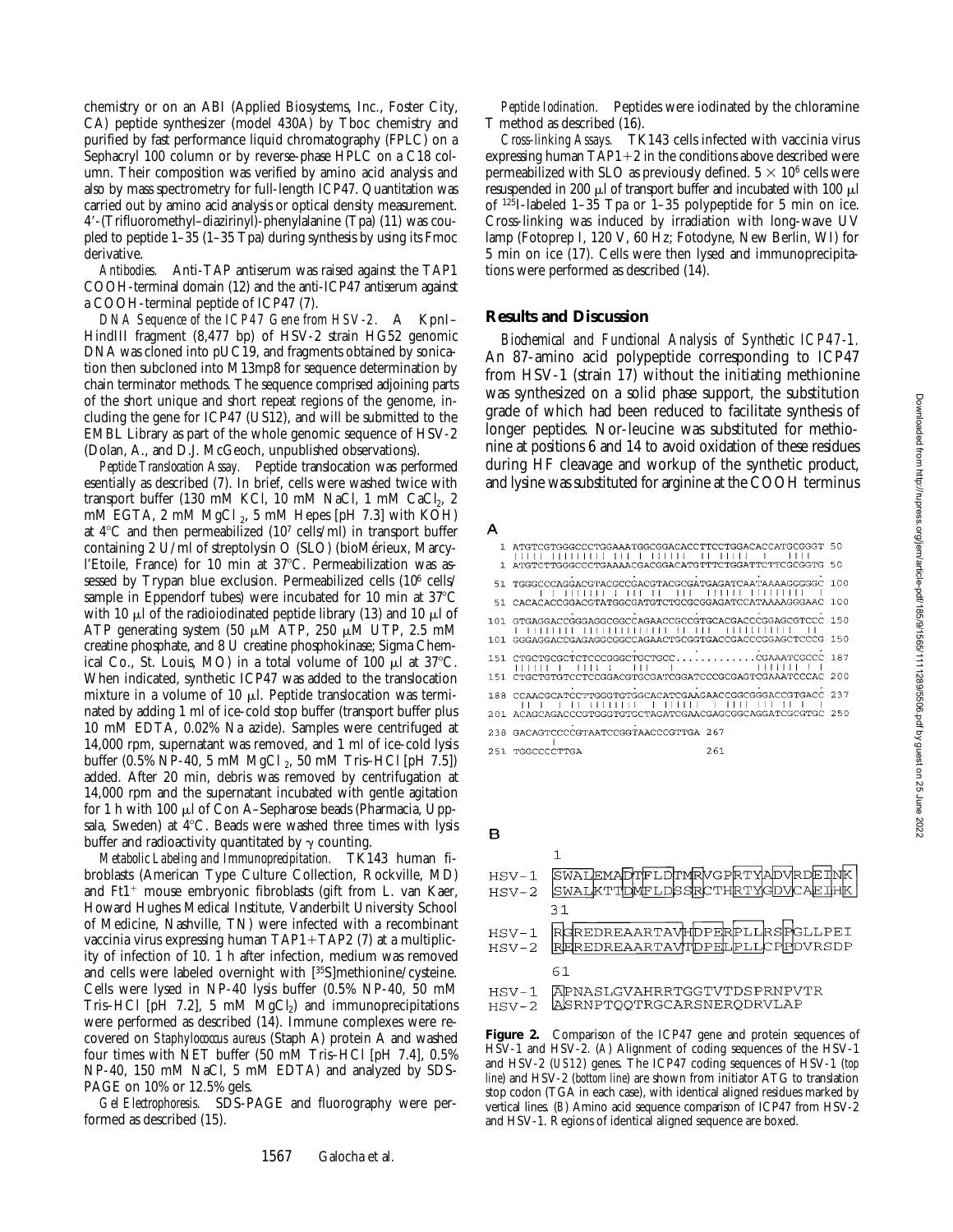chemistry or on an ABI (Applied Biosystems, Inc., Foster City, CA) peptide synthesizer (model 430A) by Tboc chemistry and purified by fast performance liquid chromatography (FPLC) on a Sephacryl 100 column or by reverse-phase HPLC on a C18 column. Their composition was verified by amino acid analysis and also by mass spectrometry for full-length ICP47. Quantitation was carried out by amino acid analysis or optical density measurement. 49-(Trifluoromethyl–diazirinyl)-phenylalanine (Tpa) (11) was coupled to peptide 1–35 (1–35 Tpa) during synthesis by using its Fmoc derivative.

*Antibodies.* Anti-TAP antiserum was raised against the TAP1 COOH-terminal domain (12) and the anti-ICP47 antiserum against a COOH-terminal peptide of ICP47 (7).

*DNA Sequence of the ICP47 Gene from HSV-2.* A KpnI– HindIII fragment (8,477 bp) of HSV-2 strain HG52 genomic DNA was cloned into pUC19, and fragments obtained by sonication then subcloned into M13mp8 for sequence determination by chain terminator methods. The sequence comprised adjoining parts of the short unique and short repeat regions of the genome, including the gene for ICP47 (US12), and will be submitted to the EMBL Library as part of the whole genomic sequence of HSV-2 (Dolan, A., and D.J. McGeoch, unpublished observations).

*Peptide Translocation Assay.* Peptide translocation was performed esentially as described (7). In brief, cells were washed twice with transport buffer (130 mM KCl, 10 mM NaCl, 1 mM CaCl<sub>2</sub>, 2 mM EGTA,  $2 \text{ mM } MgCl_2$ ,  $5 \text{ mM } Hepes$  [pH 7.3] with KOH) at  $4^{\circ}$ C and then permeabilized (10<sup>7</sup> cells/ml) in transport buffer containing 2 U/ml of streptolysin O (SLO) (bioMérieux, Marcyl'Etoile, France) for 10 min at 37°C. Permeabilization was assessed by Trypan blue exclusion. Permeabilized cells (10<sup>6</sup> cells/ sample in Eppendorf tubes) were incubated for 10 min at  $37^{\circ}$ C with 10  $\mu$ l of the radioiodinated peptide library (13) and 10  $\mu$ l of ATP generating system (50  $\mu$ M ATP, 250  $\mu$ M UTP, 2.5 mM creatine phosphate, and 8 U creatine phosphokinase; Sigma Chemical Co., St. Louis, MO) in a total volume of 100  $\mu$ l at 37°C. When indicated, synthetic ICP47 was added to the translocation mixture in a volume of 10  $\mu$ l. Peptide translocation was terminated by adding 1 ml of ice-cold stop buffer (transport buffer plus 10 mM EDTA, 0.02% Na azide). Samples were centrifuged at 14,000 rpm, supernatant was removed, and 1 ml of ice-cold lysis buffer (0.5% NP-40, 5 mM MgCl 2, 50 mM Tris–HCl [pH 7.5]) added. After 20 min, debris was removed by centrifugation at 14,000 rpm and the supernatant incubated with gentle agitation for 1 h with 100  $\mu$ l of Con A–Sepharose beads (Pharmacia, Uppsala, Sweden) at  $4^{\circ}$ C. Beads were washed three times with lysis buffer and radioactivity quantitated by  $\gamma$  counting.

*Metabolic Labeling and Immunoprecipitation.* TK143 human fibroblasts (American Type Culture Collection, Rockville, MD) and  $Ft1$ <sup>+</sup> mouse embryonic fibroblasts (gift from L. van Kaer, Howard Hughes Medical Institute, Vanderbilt University School of Medicine, Nashville, TN) were infected with a recombinant vaccinia virus expressing human TAP1+TAP2 (7) at a multiplicity of infection of 10. 1 h after infection, medium was removed and cells were labeled overnight with [35S]methionine/cysteine. Cells were lysed in NP-40 lysis buffer (0.5% NP-40, 50 mM Tris–HCl [pH 7.2], 5 mM  $MgCl<sub>2</sub>$ ) and immunoprecipitations were performed as described (14). Immune complexes were recovered on *Staphylococcus aureus* (Staph A) protein A and washed four times with NET buffer (50 mM Tris–HCl [pH 7.4], 0.5% NP-40, 150 mM NaCl, 5 mM EDTA) and analyzed by SDS-PAGE on 10% or 12.5% gels.

*Gel Electrophoresis.* SDS-PAGE and fluorography were performed as described (15).

*Peptide Iodination.* Peptides were iodinated by the chloramine T method as described (16).

*Cross-linking Assays.* TK143 cells infected with vaccinia virus expressing human  $TAP1+2$  in the conditions above described were permeabilized with SLO as previously defined.  $5 \times 10^6$  cells were resuspended in 200  $\mu$ l of transport buffer and incubated with 100  $\mu$ l of 125I-labeled 1–35 Tpa or 1–35 polypeptide for 5 min on ice. Cross-linking was induced by irradiation with long-wave UV lamp (Fotoprep I, 120 V, 60 Hz; Fotodyne, New Berlin, WI) for 5 min on ice (17). Cells were then lysed and immunoprecipitations were performed as described (14).

### **Results and Discussion**

*Biochemical and Functional Analysis of Synthetic ICP47-1.* An 87-amino acid polypeptide corresponding to ICP47 from HSV-1 (strain 17) without the initiating methionine was synthesized on a solid phase support, the substitution grade of which had been reduced to facilitate synthesis of longer peptides. Nor-leucine was substituted for methionine at positions 6 and 14 to avoid oxidation of these residues during HF cleavage and workup of the synthetic product, and lysine was substituted for arginine at the COOH terminus

#### A

| ATGTCGTGGGCCCTGGAAATGGCGGACACCTTCCTGGACACCATGCGGGT 50      |     |    |
|------------------------------------------------------------|-----|----|
| ATGTCTTGGGCCCTGAAAACGACGGACATGTTTCTGGATTCTTCGCGGTG         |     | 50 |
| 51 TGGGCCCAGGACGTACGCCGACGTACGCGATGAGATCAATAAAAGGGGGC 100  |     |    |
| 51 CACACACCGGACGTATGGCGATGTCTGCGCGGAGATCCATAAAAGGGAAC 100  |     |    |
| 101 GTGAGGACCGGGAGGCGGCCAGAACCGCCGTGCACGACCCGGAGCGTCCC 150 |     |    |
| 101 GGGAGGACCGAGAGGCGGCCAGAACTGCGGTGACCGACCCGGAGCTCCCG 150 |     |    |
| 151 CTGCTGCGCTCTCCCGGGCTGCTGCCCGAAATCGCCC 187              |     |    |
| IS1 CTGCTGTGTCCTCCGGACGTGCGATCGGATCCCGGGAGTCGAAATCCCAC 200 |     |    |
| 188 CCAACGCATCCTTGGGTGTGGCACATCGAAGAACCGGCGGGACCGTGACC 237 |     |    |
| 201 ACAGCAGACCCGTGGGTGTGCTAGATCGAACGAGCGGCAGGATCGCGTGC 250 |     |    |
| 238 GACAGTCCCCGTAATCCGGTAACCCGTTGA 267                     |     |    |
| 151 TGGCCCCTTGA                                            | 261 |    |

B

| HSV-1            | SWALEMADTFLDTMRVGPRTYADVRDEINK                                          |
|------------------|-------------------------------------------------------------------------|
| $HSV-2$          | SWALKTTDMFLDSSRCTHRTYGDVCAEIHK                                          |
|                  | 31                                                                      |
| $HSV-1$          | RGREDREAARTAVHDPERPLLRSPGLLPEI                                          |
| $HSV-2$          | REREDREAARTAVTDPELPLLCPPDVRSDP                                          |
|                  | 61                                                                      |
| HSV-1<br>$HSV-2$ | <b>IAPNASLGVAHRRTGGTVTDSPRNPVTR</b><br><b>ASRNPTOOTRGCARSNERODRVLAP</b> |
|                  |                                                                         |

**Figure 2.** Comparison of the ICP47 gene and protein sequences of HSV-1 and HSV-2. (*A*) Alignment of coding sequences of the HSV-1 and HSV-2 (*US12*) genes. The ICP47 coding sequences of HSV-1 (*top line*) and HSV-2 (*bottom line*) are shown from initiator ATG to translation stop codon (TGA in each case), with identical aligned residues marked by vertical lines. (*B*) Amino acid sequence comparison of ICP47 from HSV-2 and HSV-1. Regions of identical aligned sequence are boxed.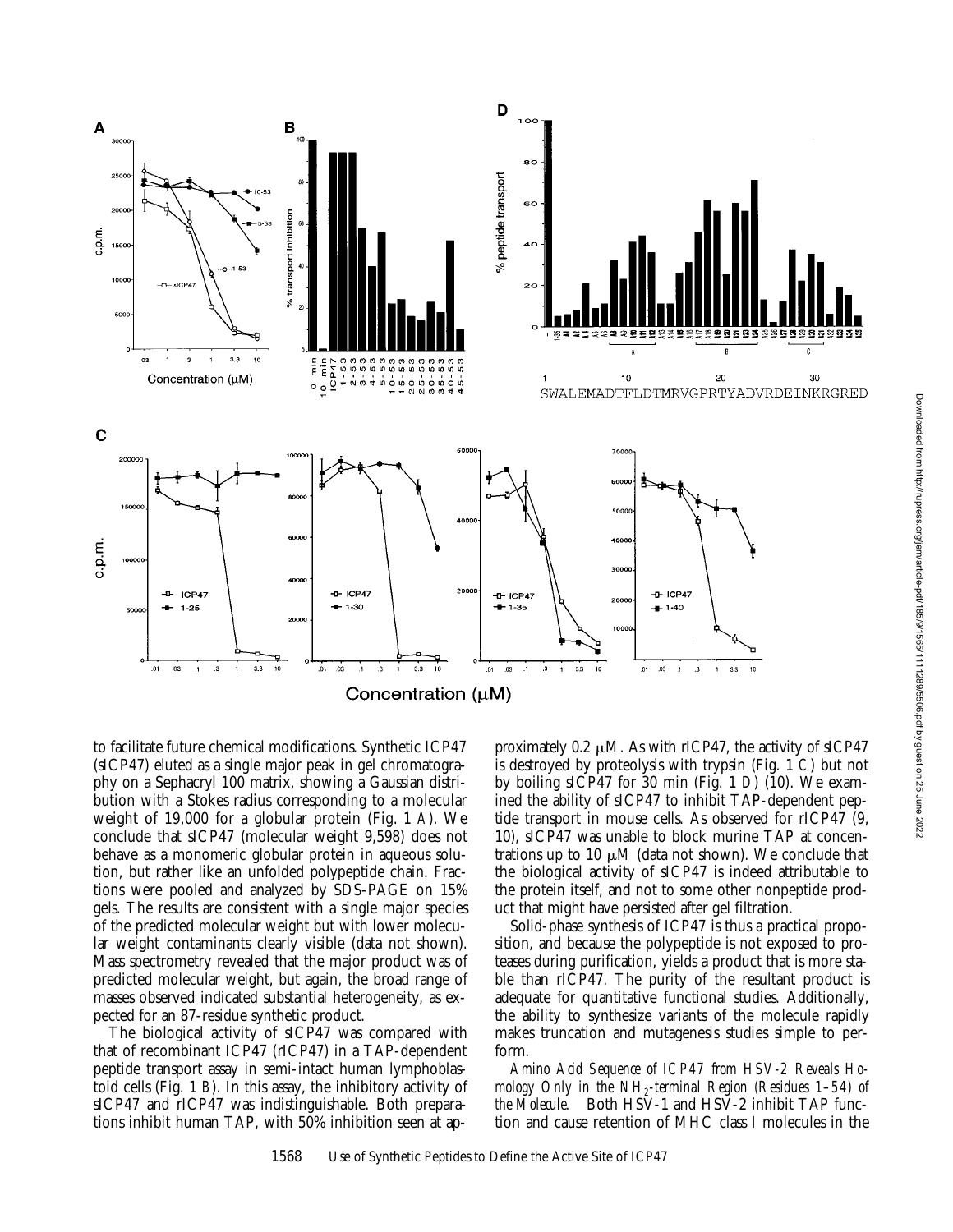

to facilitate future chemical modifications. Synthetic ICP47 (sICP47) eluted as a single major peak in gel chromatography on a Sephacryl 100 matrix, showing a Gaussian distribution with a Stokes radius corresponding to a molecular weight of 19,000 for a globular protein (Fig. 1 *A*). We conclude that sICP47 (molecular weight 9,598) does not behave as a monomeric globular protein in aqueous solution, but rather like an unfolded polypeptide chain. Fractions were pooled and analyzed by SDS-PAGE on 15% gels. The results are consistent with a single major species of the predicted molecular weight but with lower molecular weight contaminants clearly visible (data not shown). Mass spectrometry revealed that the major product was of predicted molecular weight, but again, the broad range of masses observed indicated substantial heterogeneity, as expected for an 87-residue synthetic product.

The biological activity of sICP47 was compared with that of recombinant ICP47 (rICP47) in a TAP-dependent peptide transport assay in semi-intact human lymphoblastoid cells (Fig. 1 *B*). In this assay, the inhibitory activity of sICP47 and rICP47 was indistinguishable. Both preparations inhibit human TAP, with 50% inhibition seen at ap-

proximately 0.2  $\mu$ M. As with rICP47, the activity of sICP47 is destroyed by proteolysis with trypsin (Fig. 1 *C*) but not by boiling sICP47 for 30 min (Fig. 1 *D*) (10). We examined the ability of sICP47 to inhibit TAP-dependent peptide transport in mouse cells. As observed for rICP47 (9, 10), sICP47 was unable to block murine TAP at concentrations up to 10  $\mu$ M (data not shown). We conclude that the biological activity of sICP47 is indeed attributable to the protein itself, and not to some other nonpeptide product that might have persisted after gel filtration.

Solid-phase synthesis of ICP47 is thus a practical proposition, and because the polypeptide is not exposed to proteases during purification, yields a product that is more stable than rICP47. The purity of the resultant product is adequate for quantitative functional studies. Additionally, the ability to synthesize variants of the molecule rapidly makes truncation and mutagenesis studies simple to perform.

*Amino Acid Sequence of ICP47 from HSV-2 Reveals Homology Only in the NH2-terminal Region (Residues 1–54) of the Molecule.* Both HSV-1 and HSV-2 inhibit TAP function and cause retention of MHC class I molecules in the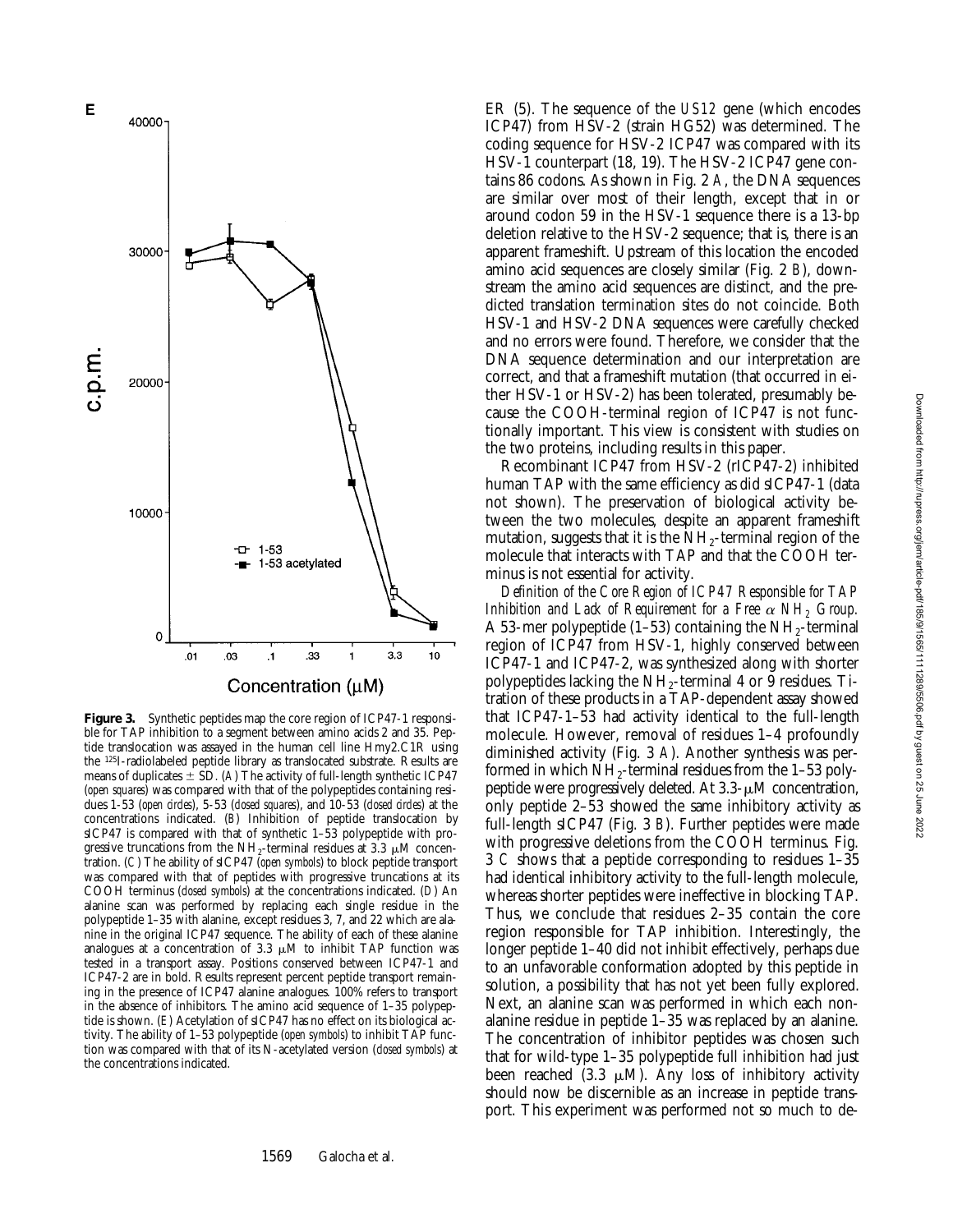

**Figure 3.** Synthetic peptides map the core region of ICP47-1 responsible for TAP inhibition to a segment between amino acids 2 and 35. Peptide translocation was assayed in the human cell line Hmy2.C1R using the 125I-radiolabeled peptide library as translocated substrate. Results are means of duplicates  $\pm$  SD. (*A*) The activity of full-length synthetic ICP47 (*open squares*) was compared with that of the polypeptides containing residues 1-53 (*open circles*), 5-53 (*closed squares*), and 10-53 (*closed circles*) at the concentrations indicated. (*B*) Inhibition of peptide translocation by sICP47 is compared with that of synthetic 1-53 polypeptide with progressive truncations from the NH<sub>2</sub>-terminal residues at 3.3  $\mu$ M concentration. (*C*) The ability of sICP47 (*open symbols*) to block peptide transport was compared with that of peptides with progressive truncations at its COOH terminus (*closed symbols*) at the concentrations indicated. (*D*) An alanine scan was performed by replacing each single residue in the polypeptide 1–35 with alanine, except residues 3, 7, and 22 which are alanine in the original ICP47 sequence. The ability of each of these alanine analogues at a concentration of 3.3  $\mu$ M to inhibit TAP function was tested in a transport assay. Positions conserved between ICP47-1 and ICP47-2 are in bold. Results represent percent peptide transport remaining in the presence of ICP47 alanine analogues. 100% refers to transport in the absence of inhibitors. The amino acid sequence of 1–35 polypeptide is shown. (*E*) Acetylation of sICP47 has no effect on its biological activity. The ability of 1–53 polypeptide (*open symbols*) to inhibit TAP function was compared with that of its N-acetylated version (*closed symbols*) at the concentrations indicated.

ER (5). The sequence of the *US12* gene (which encodes ICP47) from HSV-2 (strain HG52) was determined. The coding sequence for HSV-2 ICP47 was compared with its HSV-1 counterpart (18, 19). The HSV-2 ICP47 gene contains 86 codons. As shown in Fig. 2 *A*, the DNA sequences are similar over most of their length, except that in or around codon 59 in the HSV-1 sequence there is a 13-bp deletion relative to the HSV-2 sequence; that is, there is an apparent frameshift. Upstream of this location the encoded amino acid sequences are closely similar (Fig. 2 *B*), downstream the amino acid sequences are distinct, and the predicted translation termination sites do not coincide. Both HSV-1 and HSV-2 DNA sequences were carefully checked and no errors were found. Therefore, we consider that the DNA sequence determination and our interpretation are correct, and that a frameshift mutation (that occurred in either HSV-1 or HSV-2) has been tolerated, presumably because the COOH-terminal region of ICP47 is not functionally important. This view is consistent with studies on the two proteins, including results in this paper.

Recombinant ICP47 from HSV-2 (rICP47-2) inhibited human TAP with the same efficiency as did sICP47-1 (data not shown). The preservation of biological activity between the two molecules, despite an apparent frameshift mutation, suggests that it is the  $NH<sub>2</sub>$ -terminal region of the molecule that interacts with TAP and that the COOH terminus is not essential for activity.

*Definition of the Core Region of ICP47 Responsible for TAP Inhibition and Lack of Requirement for a Free*  $\alpha$  *NH<sub>2</sub> Group.* A 53-mer polypeptide  $(1–53)$  containing the NH<sub>2</sub>-terminal region of ICP47 from HSV-1, highly conserved between ICP47-1 and ICP47-2, was synthesized along with shorter polypeptides lacking the  $NH<sub>2</sub>$ -terminal 4 or 9 residues. Titration of these products in a TAP-dependent assay showed that ICP47-1–53 had activity identical to the full-length molecule. However, removal of residues 1–4 profoundly diminished activity (Fig. 3 *A*). Another synthesis was performed in which  $NH_2$ -terminal residues from the 1–53 polypeptide were progressively deleted. At  $3.3-\mu M$  concentration, only peptide 2–53 showed the same inhibitory activity as full-length sICP47 (Fig. 3 *B*). Further peptides were made with progressive deletions from the COOH terminus. Fig. 3 *C* shows that a peptide corresponding to residues 1–35 had identical inhibitory activity to the full-length molecule, whereas shorter peptides were ineffective in blocking TAP. Thus, we conclude that residues 2–35 contain the core region responsible for TAP inhibition. Interestingly, the longer peptide 1–40 did not inhibit effectively, perhaps due to an unfavorable conformation adopted by this peptide in solution, a possibility that has not yet been fully explored. Next, an alanine scan was performed in which each nonalanine residue in peptide 1–35 was replaced by an alanine. The concentration of inhibitor peptides was chosen such that for wild-type 1–35 polypeptide full inhibition had just been reached  $(3.3 \mu M)$ . Any loss of inhibitory activity should now be discernible as an increase in peptide transport. This experiment was performed not so much to de-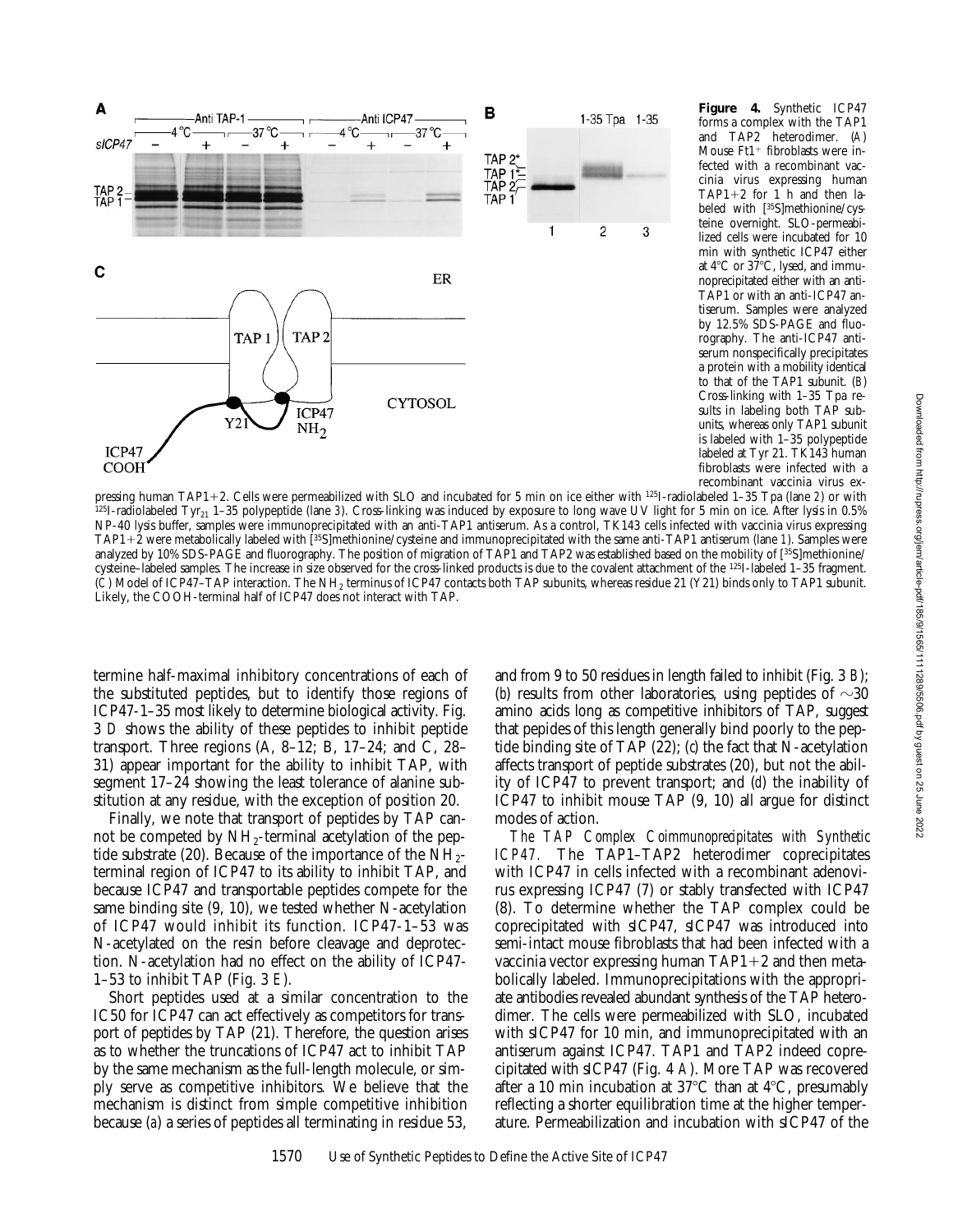

**Figure 4.** Synthetic ICP47 forms a complex with the TAP1 and TAP2 heterodimer. (*A*) Mouse  $Ft1$ <sup>+</sup> fibroblasts were infected with a recombinant vaccinia virus expressing human  $TAP1+2$  for 1 h and then labeled with [35S]methionine/cysteine overnight. SLO-permeabilized cells were incubated for 10 min with synthetic ICP47 either at  $4^{\circ}$ C or  $37^{\circ}$ C, lysed, and immunoprecipitated either with an anti-TAP1 or with an anti-ICP47 antiserum. Samples were analyzed by 12.5% SDS-PAGE and fluorography. The anti-ICP47 antiserum nonspecifically precipitates a protein with a mobility identical to that of the TAP1 subunit. (*B*) Cross-linking with 1–35 Tpa results in labeling both TAP subunits, whereas only TAP1 subunit is labeled with 1–35 polypeptide labeled at Tyr 21. TK143 human fibroblasts were infected with a recombinant vaccinia virus ex-

pressing human TAP112. Cells were permeabilized with SLO and incubated for 5 min on ice either with 125I-radiolabeled 1–35 Tpa (lane *2*) or with <sup>125</sup>I-radiolabeled Tyr<sub>21</sub> 1–35 polypeptide (lane 3). Cross-linking was induced by exposure to long wave UV light for 5 min on ice. After lysis in 0.5% NP-40 lysis buffer, samples were immunoprecipitated with an anti-TAP1 antiserum. As a control, TK143 cells infected with vaccinia virus expressing TAP1+2 were metabolically labeled with [<sup>35</sup>S]methionine/cysteine and immunoprecipitated with the same anti-TAP1 antiserum (lane 1). Samples were analyzed by 10% SDS-PAGE and fluorography. The position of migration of TAP1 and TAP2 was established based on the mobility of [<sup>35</sup>S]methionine/ cysteine–labeled samples. The increase in size observed for the cross-linked products is due to the covalent attachment of the <sup>125</sup>I-labeled 1-35 fragment. (*C*) Model of ICP47–TAP interaction. The NH2 terminus of ICP47 contacts both TAP subunits, whereas residue 21 (Y21) binds only to TAP1 subunit. Likely, the COOH-terminal half of ICP47 does not interact with TAP.

termine half-maximal inhibitory concentrations of each of the substituted peptides, but to identify those regions of ICP47-1–35 most likely to determine biological activity. Fig. 3 *D* shows the ability of these peptides to inhibit peptide transport. Three regions  $(A, 8-12, B, 17-24, and C, 28-$ 31) appear important for the ability to inhibit TAP, with segment 17–24 showing the least tolerance of alanine substitution at any residue, with the exception of position 20.

Finally, we note that transport of peptides by TAP cannot be competed by  $NH<sub>2</sub>$ -terminal acetylation of the peptide substrate (20). Because of the importance of the  $\overline{NH}_{2^-}$ terminal region of ICP47 to its ability to inhibit TAP, and because ICP47 and transportable peptides compete for the same binding site  $(9, 10)$ , we tested whether N-acetylation of ICP47 would inhibit its function. ICP47-1–53 was N-acetylated on the resin before cleavage and deprotection. N-acetylation had no effect on the ability of ICP47- 1–53 to inhibit TAP (Fig. 3 *E*).

Short peptides used at a similar concentration to the IC50 for ICP47 can act effectively as competitors for transport of peptides by TAP (21). Therefore, the question arises as to whether the truncations of ICP47 act to inhibit TAP by the same mechanism as the full-length molecule, or simply serve as competitive inhibitors. We believe that the mechanism is distinct from simple competitive inhibition because (*a*) a series of peptides all terminating in residue 53,

and from 9 to 50 residues in length failed to inhibit (Fig. 3 *B*); (*b*) results from other laboratories, using peptides of  $\sim 30$ amino acids long as competitive inhibitors of TAP, suggest that pepides of this length generally bind poorly to the peptide binding site of TAP (22); (*c*) the fact that N-acetylation affects transport of peptide substrates (20), but not the ability of ICP47 to prevent transport; and (*d*) the inability of ICP47 to inhibit mouse TAP (9, 10) all argue for distinct modes of action.

*The TAP Complex Coimmunoprecipitates with Synthetic ICP47.* The TAP1–TAP2 heterodimer coprecipitates with ICP47 in cells infected with a recombinant adenovirus expressing ICP47 (7) or stably transfected with ICP47 (8). To determine whether the TAP complex could be coprecipitated with sICP47, sICP47 was introduced into semi-intact mouse fibroblasts that had been infected with a vaccinia vector expressing human  $TAP1+2$  and then metabolically labeled. Immunoprecipitations with the appropriate antibodies revealed abundant synthesis of the TAP heterodimer. The cells were permeabilized with SLO, incubated with sICP47 for 10 min, and immunoprecipitated with an antiserum against ICP47. TAP1 and TAP2 indeed coprecipitated with sICP47 (Fig. 4 *A*). More TAP was recovered after a 10 min incubation at  $37^{\circ}$ C than at  $4^{\circ}$ C, presumably reflecting a shorter equilibration time at the higher temperature. Permeabilization and incubation with sICP47 of the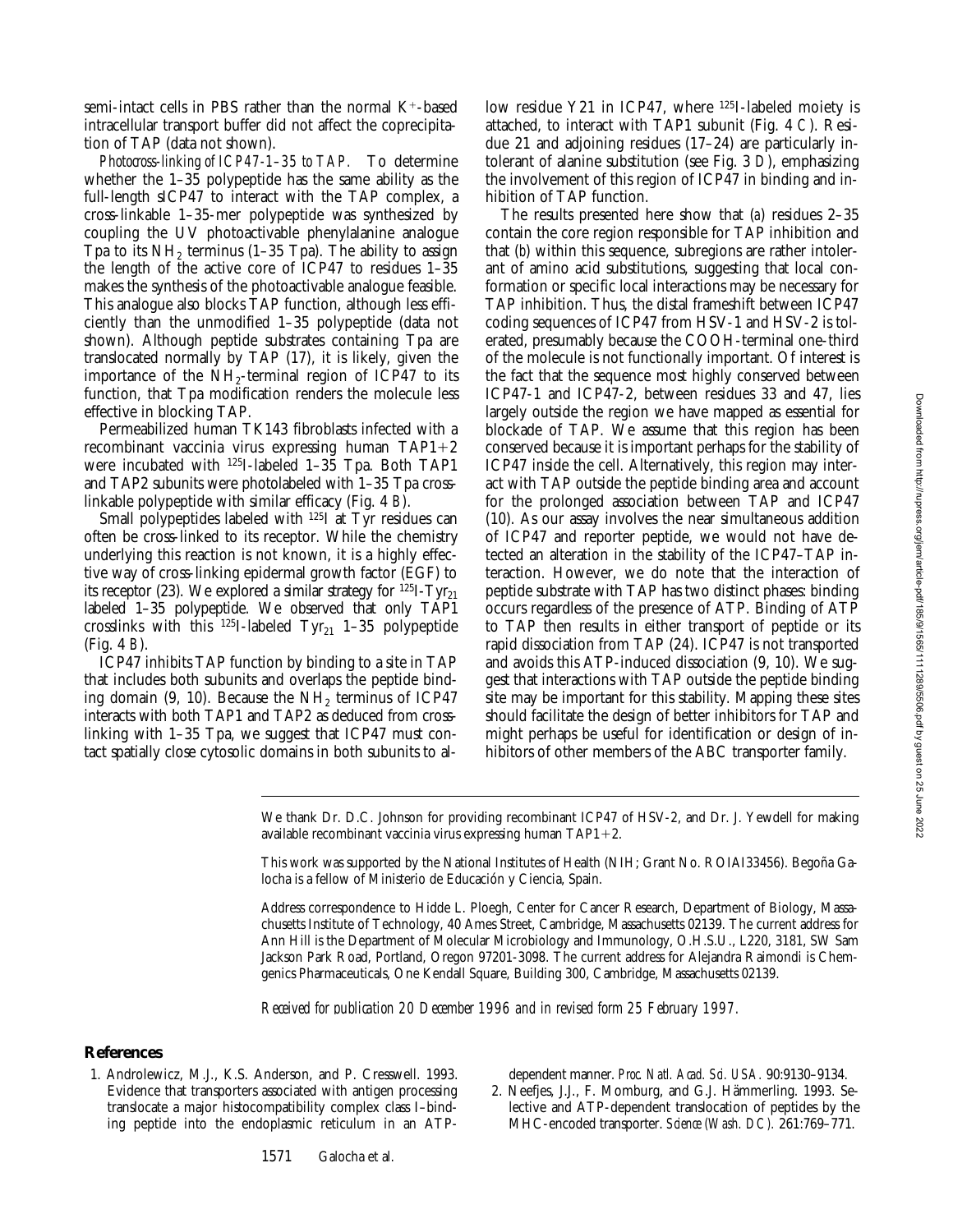semi-intact cells in PBS rather than the normal  $K^+$ -based intracellular transport buffer did not affect the coprecipitation of TAP (data not shown).

*Photocross-linking of ICP47-1–35 to TAP.* To determine whether the 1–35 polypeptide has the same ability as the full-length sICP47 to interact with the TAP complex, a cross-linkable 1–35-mer polypeptide was synthesized by coupling the UV photoactivable phenylalanine analogue Tpa to its  $NH<sub>2</sub>$  terminus (1–35 Tpa). The ability to assign the length of the active core of ICP47 to residues 1–35 makes the synthesis of the photoactivable analogue feasible. This analogue also blocks TAP function, although less efficiently than the unmodified 1–35 polypeptide (data not shown). Although peptide substrates containing Tpa are translocated normally by TAP (17), it is likely, given the importance of the  $NH_2$ -terminal region of ICP47 to its function, that Tpa modification renders the molecule less effective in blocking TAP.

Permeabilized human TK143 fibroblasts infected with a recombinant vaccinia virus expressing human  $TAP1+2$ were incubated with 125I-labeled 1–35 Tpa. Both TAP1 and TAP2 subunits were photolabeled with 1–35 Tpa crosslinkable polypeptide with similar efficacy (Fig. 4 *B*).

Small polypeptides labeled with <sup>125</sup>I at Tyr residues can often be cross-linked to its receptor. While the chemistry underlying this reaction is not known, it is a highly effective way of cross-linking epidermal growth factor (EGF) to its receptor (23). We explored a similar strategy for  $^{125}I-Tyr_{21}$ labeled 1–35 polypeptide. We observed that only TAP1 crosslinks with this  $^{125}$ I-labeled Tyr<sub>21</sub> 1–35 polypeptide (Fig. 4 *B*).

ICP47 inhibits TAP function by binding to a site in TAP that includes both subunits and overlaps the peptide binding domain (9, 10). Because the  $NH<sub>2</sub>$  terminus of ICP47 interacts with both TAP1 and TAP2 as deduced from crosslinking with 1–35 Tpa, we suggest that ICP47 must contact spatially close cytosolic domains in both subunits to allow residue Y21 in ICP47, where <sup>125</sup>I-labeled moiety is attached, to interact with TAP1 subunit (Fig. 4 *C*). Residue 21 and adjoining residues (17–24) are particularly intolerant of alanine substitution (see Fig. 3 *D*), emphasizing the involvement of this region of ICP47 in binding and inhibition of TAP function.

The results presented here show that (*a*) residues 2–35 contain the core region responsible for TAP inhibition and that (*b*) within this sequence, subregions are rather intolerant of amino acid substitutions, suggesting that local conformation or specific local interactions may be necessary for TAP inhibition. Thus, the distal frameshift between ICP47 coding sequences of ICP47 from HSV-1 and HSV-2 is tolerated, presumably because the COOH-terminal one-third of the molecule is not functionally important. Of interest is the fact that the sequence most highly conserved between ICP47-1 and ICP47-2, between residues 33 and 47, lies largely outside the region we have mapped as essential for blockade of TAP. We assume that this region has been conserved because it is important perhaps for the stability of ICP47 inside the cell. Alternatively, this region may interact with TAP outside the peptide binding area and account for the prolonged association between TAP and ICP47 (10). As our assay involves the near simultaneous addition of ICP47 and reporter peptide, we would not have detected an alteration in the stability of the ICP47–TAP interaction. However, we do note that the interaction of peptide substrate with TAP has two distinct phases: binding occurs regardless of the presence of ATP. Binding of ATP to TAP then results in either transport of peptide or its rapid dissociation from TAP (24). ICP47 is not transported and avoids this ATP-induced dissociation (9, 10). We suggest that interactions with TAP outside the peptide binding site may be important for this stability. Mapping these sites should facilitate the design of better inhibitors for TAP and might perhaps be useful for identification or design of inhibitors of other members of the ABC transporter family.

We thank Dr. D.C. Johnson for providing recombinant ICP47 of HSV-2, and Dr. J. Yewdell for making available recombinant vaccinia virus expressing human  $TAP1+2$ .

This work was supported by the National Institutes of Health (NIH; Grant No. ROIAI33456). Begoña Galocha is a fellow of Ministerio de Educación y Ciencia, Spain.

Address correspondence to Hidde L. Ploegh, Center for Cancer Research, Department of Biology, Massachusetts Institute of Technology, 40 Ames Street, Cambridge, Massachusetts 02139. The current address for Ann Hill is the Department of Molecular Microbiology and Immunology, O.H.S.U., L220, 3181, SW Sam Jackson Park Road, Portland, Oregon 97201-3098. The current address for Alejandra Raimondi is Chemgenics Pharmaceuticals, One Kendall Square, Building 300, Cambridge, Massachusetts 02139.

*Received for publication 20 December 1996 and in revised form 25 February 1997.*

# **References**

1. Androlewicz, M.J., K.S. Anderson, and P. Cresswell. 1993. Evidence that transporters associated with antigen processing translocate a major histocompatibility complex class I–binding peptide into the endoplasmic reticulum in an ATP-

1571 Galocha et al.

dependent manner. *Proc. Natl. Acad. Sci. USA.* 90:9130–9134.

2. Neefjes, J.J., F. Momburg, and G.J. Hämmerling. 1993. Selective and ATP-dependent translocation of peptides by the MHC-encoded transporter. *Science (Wash. DC).* 261:769–771.